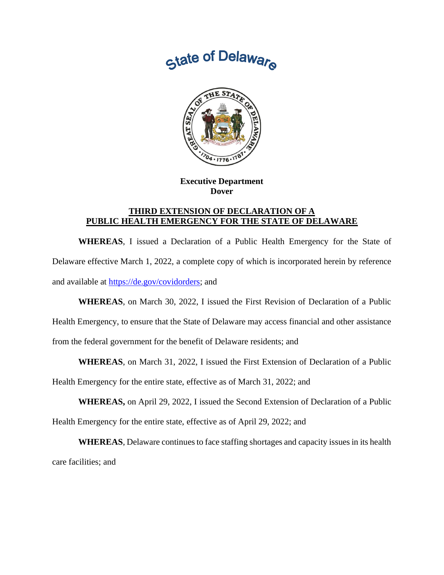



**Executive Department Dover**

## **THIRD EXTENSION OF DECLARATION OF A PUBLIC HEALTH EMERGENCY FOR THE STATE OF DELAWARE**

**WHEREAS**, I issued a Declaration of a Public Health Emergency for the State of Delaware effective March 1, 2022, a complete copy of which is incorporated herein by reference and available at [https://de.gov/covidorders;](https://de.gov/covidorders) and

**WHEREAS**, on March 30, 2022, I issued the First Revision of Declaration of a Public

Health Emergency, to ensure that the State of Delaware may access financial and other assistance

from the federal government for the benefit of Delaware residents; and

**WHEREAS**, on March 31, 2022, I issued the First Extension of Declaration of a Public

Health Emergency for the entire state, effective as of March 31, 2022; and

**WHEREAS,** on April 29, 2022, I issued the Second Extension of Declaration of a Public

Health Emergency for the entire state, effective as of April 29, 2022; and

**WHEREAS**, Delaware continues to face staffing shortages and capacity issues in its health care facilities; and